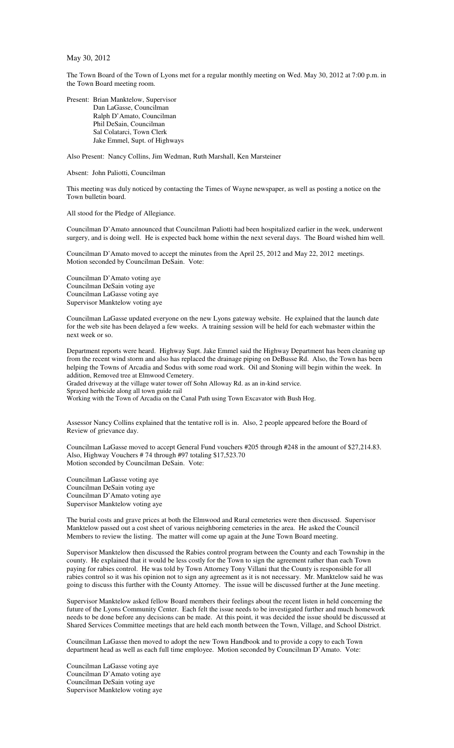May 30, 2012

The Town Board of the Town of Lyons met for a regular monthly meeting on Wed. May 30, 2012 at 7:00 p.m. in the Town Board meeting room.

Present: Brian Manktelow, Supervisor Dan LaGasse, Councilman Ralph D'Amato, Councilman Phil DeSain, Councilman Sal Colatarci, Town Clerk Jake Emmel, Supt. of Highways

Also Present: Nancy Collins, Jim Wedman, Ruth Marshall, Ken Marsteiner

Absent: John Paliotti, Councilman

This meeting was duly noticed by contacting the Times of Wayne newspaper, as well as posting a notice on the Town bulletin board.

All stood for the Pledge of Allegiance.

Councilman D'Amato announced that Councilman Paliotti had been hospitalized earlier in the week, underwent surgery, and is doing well. He is expected back home within the next several days. The Board wished him well.

Councilman D'Amato moved to accept the minutes from the April 25, 2012 and May 22, 2012 meetings. Motion seconded by Councilman DeSain. Vote:

Councilman D'Amato voting aye Councilman DeSain voting aye Councilman LaGasse voting aye Supervisor Manktelow voting aye

Councilman LaGasse updated everyone on the new Lyons gateway website. He explained that the launch date for the web site has been delayed a few weeks. A training session will be held for each webmaster within the next week or so.

Department reports were heard. Highway Supt. Jake Emmel said the Highway Department has been cleaning up from the recent wind storm and also has replaced the drainage piping on DeBusse Rd. Also, the Town has been helping the Towns of Arcadia and Sodus with some road work. Oil and Stoning will begin within the week. In addition, Removed tree at Elmwood Cemetery.

Graded driveway at the village water tower off Sohn Alloway Rd. as an in-kind service.

Sprayed herbicide along all town guide rail

Working with the Town of Arcadia on the Canal Path using Town Excavator with Bush Hog.

Assessor Nancy Collins explained that the tentative roll is in. Also, 2 people appeared before the Board of Review of grievance day.

Councilman LaGasse moved to accept General Fund vouchers #205 through #248 in the amount of \$27,214.83. Also, Highway Vouchers # 74 through #97 totaling \$17,523.70 Motion seconded by Councilman DeSain. Vote:

Councilman LaGasse voting aye Councilman DeSain voting aye Councilman D'Amato voting aye Supervisor Manktelow voting aye

The burial costs and grave prices at both the Elmwood and Rural cemeteries were then discussed. Supervisor Manktelow passed out a cost sheet of various neighboring cemeteries in the area. He asked the Council Members to review the listing. The matter will come up again at the June Town Board meeting.

Supervisor Manktelow then discussed the Rabies control program between the County and each Township in the county. He explained that it would be less costly for the Town to sign the agreement rather than each Town paying for rabies control. He was told by Town Attorney Tony Villani that the County is responsible for all rabies control so it was his opinion not to sign any agreement as it is not necessary. Mr. Manktelow said he was going to discuss this further with the County Attorney. The issue will be discussed further at the June meeting.

Supervisor Manktelow asked fellow Board members their feelings about the recent listen in held concerning the future of the Lyons Community Center. Each felt the issue needs to be investigated further and much homework needs to be done before any decisions can be made. At this point, it was decided the issue should be discussed at Shared Services Committee meetings that are held each month between the Town, Village, and School District.

Councilman LaGasse then moved to adopt the new Town Handbook and to provide a copy to each Town department head as well as each full time employee. Motion seconded by Councilman D'Amato. Vote:

Councilman LaGasse voting aye Councilman D'Amato voting aye Councilman DeSain voting aye Supervisor Manktelow voting aye